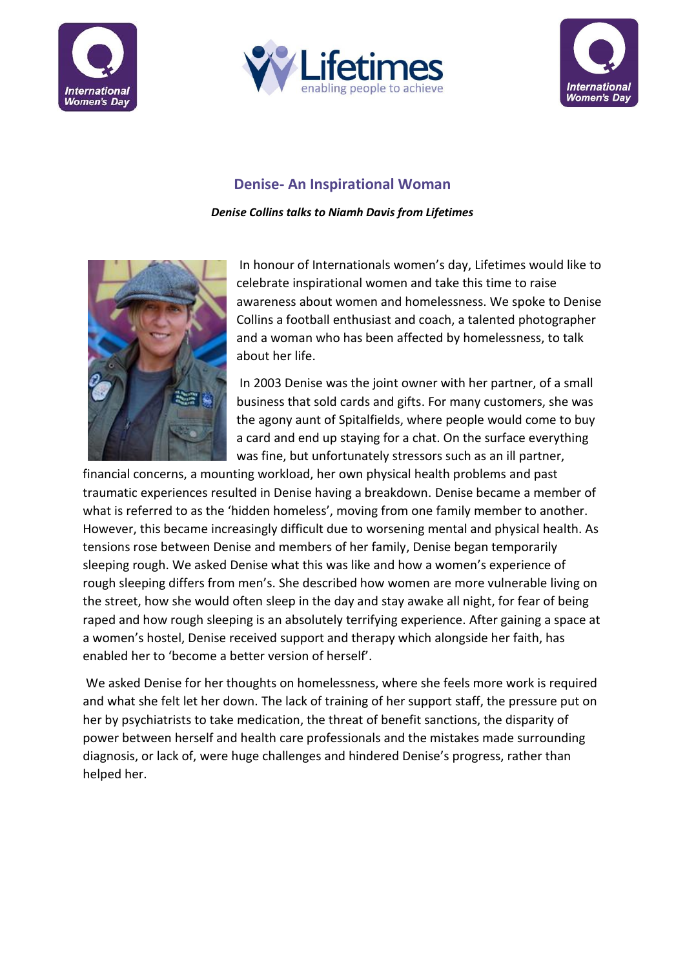





## **Denise- An Inspirational Woman**

*Denise Collins talks to Niamh Davis from Lifetimes* 



In honour of Internationals women's day, Lifetimes would like to celebrate inspirational women and take this time to raise awareness about women and homelessness. We spoke to Denise Collins a football enthusiast and coach, a talented photographer and a woman who has been affected by homelessness, to talk about her life.

In 2003 Denise was the joint owner with her partner, of a small business that sold cards and gifts. For many customers, she was the agony aunt of Spitalfields, where people would come to buy a card and end up staying for a chat. On the surface everything was fine, but unfortunately stressors such as an ill partner,

financial concerns, a mounting workload, her own physical health problems and past traumatic experiences resulted in Denise having a breakdown. Denise became a member of what is referred to as the 'hidden homeless', moving from one family member to another. However, this became increasingly difficult due to worsening mental and physical health. As tensions rose between Denise and members of her family, Denise began temporarily sleeping rough. We asked Denise what this was like and how a women's experience of rough sleeping differs from men's. She described how women are more vulnerable living on the street, how she would often sleep in the day and stay awake all night, for fear of being raped and how rough sleeping is an absolutely terrifying experience. After gaining a space at a women's hostel, Denise received support and therapy which alongside her faith, has enabled her to 'become a better version of herself'.

We asked Denise for her thoughts on homelessness, where she feels more work is required and what she felt let her down. The lack of training of her support staff, the pressure put on her by psychiatrists to take medication, the threat of benefit sanctions, the disparity of power between herself and health care professionals and the mistakes made surrounding diagnosis, or lack of, were huge challenges and hindered Denise's progress, rather than helped her.